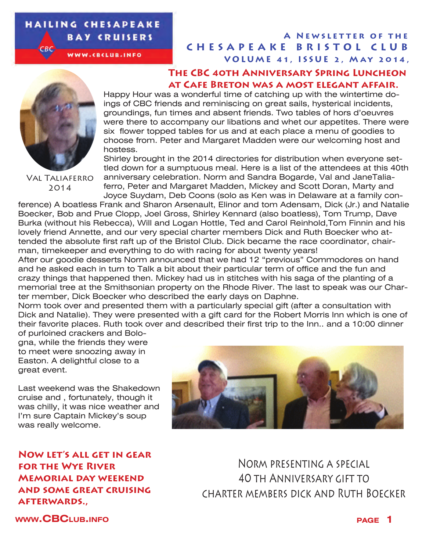#### **HAILING CHESAPEAKE BAY CRUISERS**

WWW.CBCLUB.INFO

#### **CHESAPEAKE BRISTOL CLUB VOLUME 41, ISSUE 2, MAY 2014, A Newsletter of the**

#### **The CBC 40th Anniversary Spring Luncheon at Cafe Breton was a most elegant affair.**



 $-BC$ 

Val Taliaferro 2014

Happy Hour was a wonderful time of catching up with the wintertime doings of CBC friends and reminiscing on great sails, hysterical incidents, groundings, fun times and absent friends. Two tables of hors d'oeuvres were there to accompany our libations and whet our appetites. There were six flower topped tables for us and at each place a menu of goodies to choose from. Peter and Margaret Madden were our welcoming host and hostess.

Shirley brought in the 2014 directories for distribution when everyone settled down for a sumptuous meal. Here is a list of the attendees at this 40th anniversary celebration. Norm and Sandra Bogarde, Val and JaneTalia-

ferro, Peter and Margaret Madden, Mickey and Scott Doran, Marty and Joyce Suydam, Deb Coons (solo as Ken was in Delaware at a family con-

ference) A boatless Frank and Sharon Arsenault, Elinor and tom Adensam, Dick (Jr.) and Natalie Boecker, Bob and Prue Clopp, Joel Gross, Shirley Kennard (also boatless), Tom Trump, Dave Burka (without his Rebecca), Will and Logan Hottle, Ted and Carol Reinhold,Tom Finnin and his lovely friend Annette, and our very special charter members Dick and Ruth Boecker who attended the absolute first raft up of the Bristol Club. Dick became the race coordinator, chairman, timekeeper and everything to do with racing for about twenty years!

After our goodie desserts Norm announced that we had 12 "previous" Commodores on hand and he asked each in turn to Talk a bit about their particular term of office and the fun and crazy things that happened then. Mickey had us in stitches with his saga of the planting of a memorial tree at the Smithsonian property on the Rhode River. The last to speak was our Charter member, Dick Boecker who described the early days on Daphne.

Norm took over and presented them with a particularly special gift (after a consultation with Dick and Natalie). They were presented with a gift card for the Robert Morris Inn which is one of their favorite places. Ruth took over and described their first trip to the Inn.. and a 10:00 dinner of purloined crackers and Bolo-

gna, while the friends they were to meet were snoozing away in Easton. A delightful close to a great event.

Last weekend was the Shakedown cruise and , fortunately, though it was chilly, it was nice weather and I'm sure Captain Mickey's soup was really welcome.



**Now let's all get in gear for the Wye River Memorial day weekend and some great cruising afterwards.,**

Norm presenting a special 40 th Anniversary gift to charter members dick and Ruth Boecker

**www.CBClub.info page 1**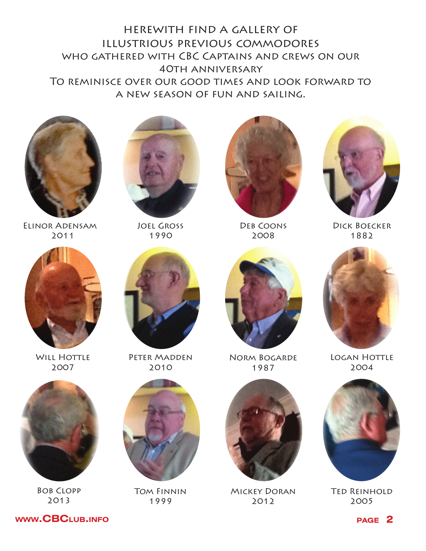herewith find a gallery of illustrious previous commodores who gathered with CBC Captains and crews on our 40th anniversary To reminisce over our good times and look forward to a new season of fun and sailing.



Elinor Adensam 2011



Joel Gross 1990



Deb Coons 2008



Dick Boecker 1882



**WILL HOTTLE** 2007



Bob Clopp 2013



PETER MADDEN 2010



Tom Finnin 1999



Norm Bogarde 1987



Mickey Doran 2012



**LOGAN HOTTLE** 2004



**TED REINHOLD** 2005

**www.CBC**LUB.INFO **page 2**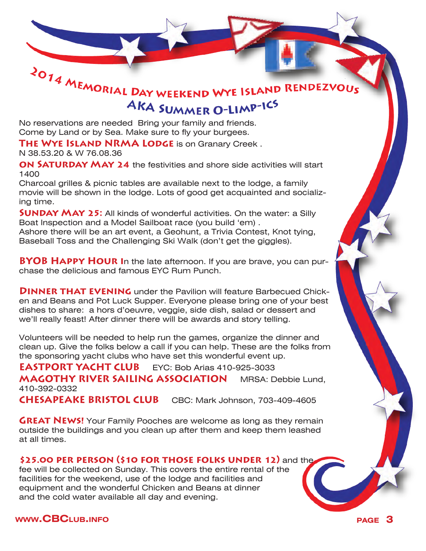

# AKA SUMMER O-LIMP-ICS

No reservations are needed Bring your family and friends. Come by Land or by Sea. Make sure to fly your burgees.

**THE WYE ISLAND NRMA LODGE** is on Granary Creek.

N 38.53.20 & W 76.08.36

**ON SATURDAY MAY 24** the festivities and shore side activities will start 1400

Charcoal grilles & picnic tables are available next to the lodge, a family movie will be shown in the lodge. Lots of good get acquainted and socializing time.

**SUNDAY MAY 25:** All kinds of wonderful activities. On the water: a Silly Boat Inspection and a Model Sailboat race (you build 'em) . Ashore there will be an art event, a Geohunt, a Trivia Contest, Knot tying, Baseball Toss and the Challenging Ski Walk (don't get the giggles).

**BYOB HAPPY HOUR In the late afternoon. If you are brave, you can pur**chase the delicious and famous EYC Rum Punch.

**DINNER THAT EVENING** under the Pavilion will feature Barbecued Chicken and Beans and Pot Luck Supper. Everyone please bring one of your best dishes to share: a hors d'oeuvre, veggie, side dish, salad or dessert and we'll really feast! After dinner there will be awards and story telling.

Volunteers will be needed to help run the games, organize the dinner and clean up. Give the folks below a call if you can help. These are the folks from the sponsoring yacht clubs who have set this wonderful event up.

**EASTPORT YACHT CLUB** EYC: Bob Arias 410-925-3033 **MAGOTHY RIVER SAILING ASSOCIATION** MRSA: Debbie Lund, 410-392-0332 **CHESAPEAKE BRISTOL CLUB** CBC: Mark Johnson, 703-409-4605

**GREAT NEWS!** Your Family Pooches are welcome as long as they remain outside the buildings and you clean up after them and keep them leashed at all times.

#### **\$25.00 per person (\$10 for those folks under 12)** and the

fee will be collected on Sunday. This covers the entire rental of the facilities for the weekend, use of the lodge and facilities and equipment and the wonderful Chicken and Beans at dinner and the cold water available all day and evening.